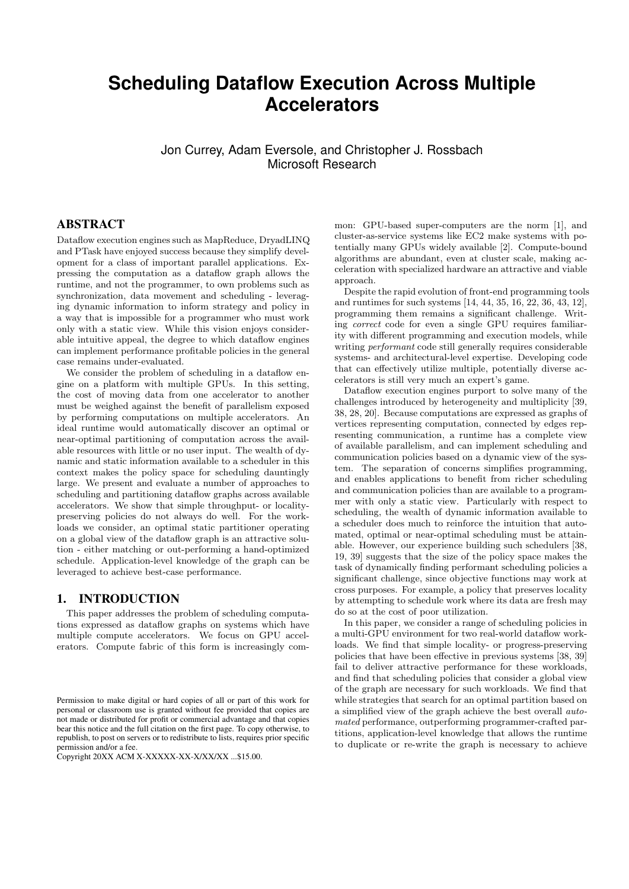# **Scheduling Dataflow Execution Across Multiple Accelerators**

Jon Currey, Adam Eversole, and Christopher J. Rossbach Microsoft Research

#### ABSTRACT

Dataflow execution engines such as MapReduce, DryadLINQ and PTask have enjoyed success because they simplify development for a class of important parallel applications. Expressing the computation as a dataflow graph allows the runtime, and not the programmer, to own problems such as synchronization, data movement and scheduling - leveraging dynamic information to inform strategy and policy in a way that is impossible for a programmer who must work only with a static view. While this vision enjoys considerable intuitive appeal, the degree to which dataflow engines can implement performance profitable policies in the general case remains under-evaluated.

We consider the problem of scheduling in a dataflow engine on a platform with multiple GPUs. In this setting, the cost of moving data from one accelerator to another must be weighed against the benefit of parallelism exposed by performing computations on multiple accelerators. An ideal runtime would automatically discover an optimal or near-optimal partitioning of computation across the available resources with little or no user input. The wealth of dynamic and static information available to a scheduler in this context makes the policy space for scheduling dauntingly large. We present and evaluate a number of approaches to scheduling and partitioning dataflow graphs across available accelerators. We show that simple throughput- or localitypreserving policies do not always do well. For the workloads we consider, an optimal static partitioner operating on a global view of the dataflow graph is an attractive solution - either matching or out-performing a hand-optimized schedule. Application-level knowledge of the graph can be leveraged to achieve best-case performance.

#### 1. INTRODUCTION

This paper addresses the problem of scheduling computations expressed as dataflow graphs on systems which have multiple compute accelerators. We focus on GPU accelerators. Compute fabric of this form is increasingly com-

mon: GPU-based super-computers are the norm [1], and cluster-as-service systems like EC2 make systems with potentially many GPUs widely available [2]. Compute-bound algorithms are abundant, even at cluster scale, making acceleration with specialized hardware an attractive and viable approach.

Despite the rapid evolution of front-end programming tools and runtimes for such systems [14, 44, 35, 16, 22, 36, 43, 12], programming them remains a significant challenge. Writing correct code for even a single GPU requires familiarity with different programming and execution models, while writing performant code still generally requires considerable systems- and architectural-level expertise. Developing code that can effectively utilize multiple, potentially diverse accelerators is still very much an expert's game.

Dataflow execution engines purport to solve many of the challenges introduced by heterogeneity and multiplicity [39, 38, 28, 20]. Because computations are expressed as graphs of vertices representing computation, connected by edges representing communication, a runtime has a complete view of available parallelism, and can implement scheduling and communication policies based on a dynamic view of the system. The separation of concerns simplifies programming, and enables applications to benefit from richer scheduling and communication policies than are available to a programmer with only a static view. Particularly with respect to scheduling, the wealth of dynamic information available to a scheduler does much to reinforce the intuition that automated, optimal or near-optimal scheduling must be attainable. However, our experience building such schedulers [38, 19, 39] suggests that the size of the policy space makes the task of dynamically finding performant scheduling policies a significant challenge, since objective functions may work at cross purposes. For example, a policy that preserves locality by attempting to schedule work where its data are fresh may do so at the cost of poor utilization.

In this paper, we consider a range of scheduling policies in a multi-GPU environment for two real-world dataflow workloads. We find that simple locality- or progress-preserving policies that have been effective in previous systems [38, 39] fail to deliver attractive performance for these workloads, and find that scheduling policies that consider a global view of the graph are necessary for such workloads. We find that while strategies that search for an optimal partition based on a simplified view of the graph achieve the best overall automated performance, outperforming programmer-crafted partitions, application-level knowledge that allows the runtime to duplicate or re-write the graph is necessary to achieve

Permission to make digital or hard copies of all or part of this work for personal or classroom use is granted without fee provided that copies are not made or distributed for profit or commercial advantage and that copies bear this notice and the full citation on the first page. To copy otherwise, to republish, to post on servers or to redistribute to lists, requires prior specific permission and/or a fee.

Copyright 20XX ACM X-XXXXX-XX-X/XX/XX ...\$15.00.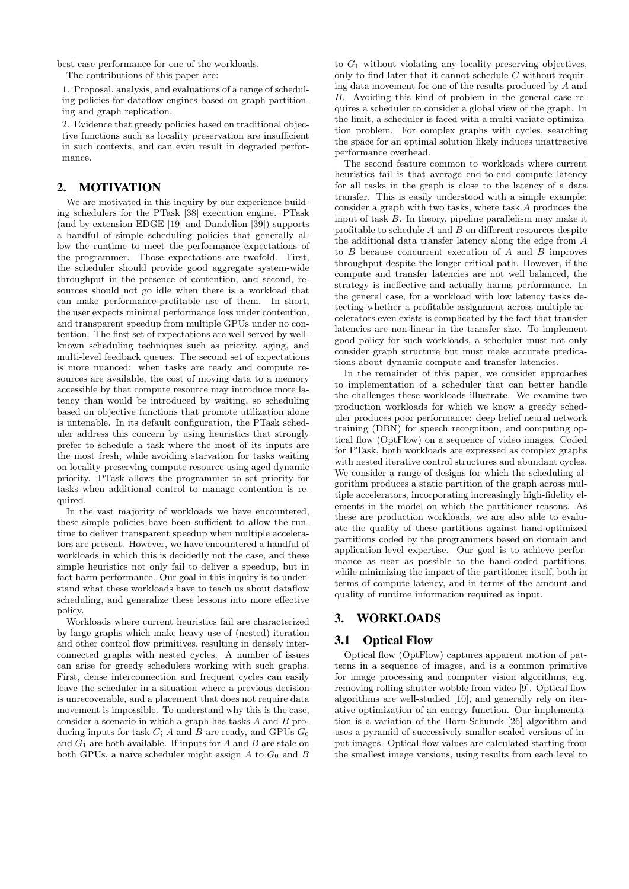best-case performance for one of the workloads.

The contributions of this paper are:

1. Proposal, analysis, and evaluations of a range of scheduling policies for dataflow engines based on graph partitioning and graph replication.

2. Evidence that greedy policies based on traditional objective functions such as locality preservation are insufficient in such contexts, and can even result in degraded performance.

#### 2. MOTIVATION

We are motivated in this inquiry by our experience building schedulers for the PTask [38] execution engine. PTask (and by extension EDGE [19] and Dandelion [39]) supports a handful of simple scheduling policies that generally allow the runtime to meet the performance expectations of the programmer. Those expectations are twofold. First, the scheduler should provide good aggregate system-wide throughput in the presence of contention, and second, resources should not go idle when there is a workload that can make performance-profitable use of them. In short, the user expects minimal performance loss under contention, and transparent speedup from multiple GPUs under no contention. The first set of expectations are well served by wellknown scheduling techniques such as priority, aging, and multi-level feedback queues. The second set of expectations is more nuanced: when tasks are ready and compute resources are available, the cost of moving data to a memory accessible by that compute resource may introduce more latency than would be introduced by waiting, so scheduling based on objective functions that promote utilization alone is untenable. In its default configuration, the PTask scheduler address this concern by using heuristics that strongly prefer to schedule a task where the most of its inputs are the most fresh, while avoiding starvation for tasks waiting on locality-preserving compute resource using aged dynamic priority. PTask allows the programmer to set priority for tasks when additional control to manage contention is required.

In the vast majority of workloads we have encountered, these simple policies have been sufficient to allow the runtime to deliver transparent speedup when multiple accelerators are present. However, we have encountered a handful of workloads in which this is decidedly not the case, and these simple heuristics not only fail to deliver a speedup, but in fact harm performance. Our goal in this inquiry is to understand what these workloads have to teach us about dataflow scheduling, and generalize these lessons into more effective policy.

Workloads where current heuristics fail are characterized by large graphs which make heavy use of (nested) iteration and other control flow primitives, resulting in densely interconnected graphs with nested cycles. A number of issues can arise for greedy schedulers working with such graphs. First, dense interconnection and frequent cycles can easily leave the scheduler in a situation where a previous decision is unrecoverable, and a placement that does not require data movement is impossible. To understand why this is the case, consider a scenario in which a graph has tasks  $A$  and  $B$  producing inputs for task  $C$ ;  $A$  and  $B$  are ready, and GPUs  $G_0$ and  $G_1$  are both available. If inputs for A and B are stale on both GPUs, a naïve scheduler might assign  $A$  to  $G_0$  and  $B$ 

to  $G_1$  without violating any locality-preserving objectives, only to find later that it cannot schedule  $C$  without requiring data movement for one of the results produced by A and B. Avoiding this kind of problem in the general case requires a scheduler to consider a global view of the graph. In the limit, a scheduler is faced with a multi-variate optimization problem. For complex graphs with cycles, searching the space for an optimal solution likely induces unattractive performance overhead.

The second feature common to workloads where current heuristics fail is that average end-to-end compute latency for all tasks in the graph is close to the latency of a data transfer. This is easily understood with a simple example: consider a graph with two tasks, where task A produces the input of task B. In theory, pipeline parallelism may make it profitable to schedule  $A$  and  $B$  on different resources despite the additional data transfer latency along the edge from A to  $B$  because concurrent execution of  $A$  and  $B$  improves throughput despite the longer critical path. However, if the compute and transfer latencies are not well balanced, the strategy is ineffective and actually harms performance. In the general case, for a workload with low latency tasks detecting whether a profitable assignment across multiple accelerators even exists is complicated by the fact that transfer latencies are non-linear in the transfer size. To implement good policy for such workloads, a scheduler must not only consider graph structure but must make accurate predications about dynamic compute and transfer latencies.

In the remainder of this paper, we consider approaches to implementation of a scheduler that can better handle the challenges these workloads illustrate. We examine two production workloads for which we know a greedy scheduler produces poor performance: deep belief neural network training (DBN) for speech recognition, and computing optical flow (OptFlow) on a sequence of video images. Coded for PTask, both workloads are expressed as complex graphs with nested iterative control structures and abundant cycles. We consider a range of designs for which the scheduling algorithm produces a static partition of the graph across multiple accelerators, incorporating increasingly high-fidelity elements in the model on which the partitioner reasons. As these are production workloads, we are also able to evaluate the quality of these partitions against hand-optimized partitions coded by the programmers based on domain and application-level expertise. Our goal is to achieve performance as near as possible to the hand-coded partitions, while minimizing the impact of the partitioner itself, both in terms of compute latency, and in terms of the amount and quality of runtime information required as input.

## 3. WORKLOADS

## 3.1 Optical Flow

Optical flow (OptFlow) captures apparent motion of patterns in a sequence of images, and is a common primitive for image processing and computer vision algorithms, e.g. removing rolling shutter wobble from video [9]. Optical flow algorithms are well-studied [10], and generally rely on iterative optimization of an energy function. Our implementation is a variation of the Horn-Schunck [26] algorithm and uses a pyramid of successively smaller scaled versions of input images. Optical flow values are calculated starting from the smallest image versions, using results from each level to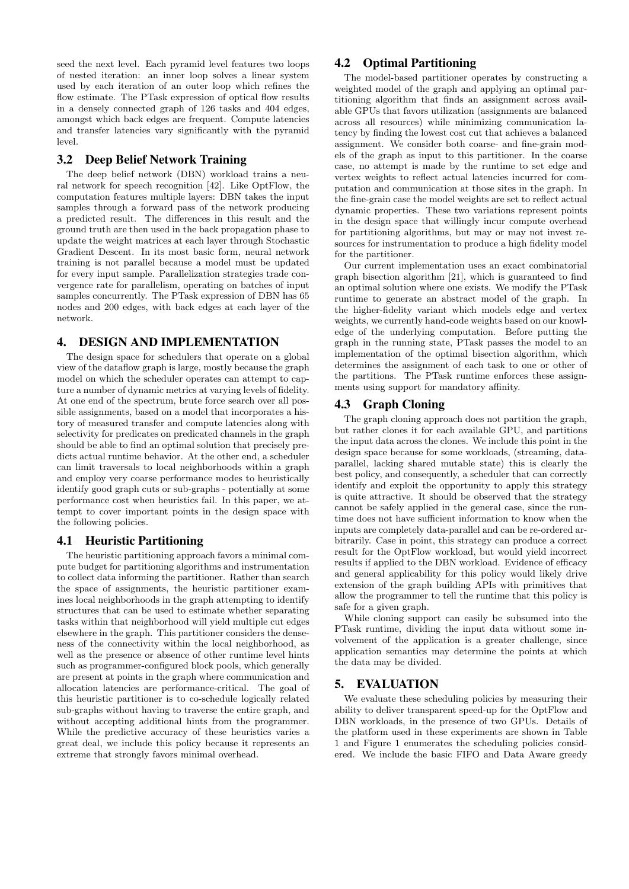seed the next level. Each pyramid level features two loops of nested iteration: an inner loop solves a linear system used by each iteration of an outer loop which refines the flow estimate. The PTask expression of optical flow results in a densely connected graph of 126 tasks and 404 edges, amongst which back edges are frequent. Compute latencies and transfer latencies vary significantly with the pyramid level.

## 3.2 Deep Belief Network Training

The deep belief network (DBN) workload trains a neural network for speech recognition [42]. Like OptFlow, the computation features multiple layers: DBN takes the input samples through a forward pass of the network producing a predicted result. The differences in this result and the ground truth are then used in the back propagation phase to update the weight matrices at each layer through Stochastic Gradient Descent. In its most basic form, neural network training is not parallel because a model must be updated for every input sample. Parallelization strategies trade convergence rate for parallelism, operating on batches of input samples concurrently. The PTask expression of DBN has 65 nodes and 200 edges, with back edges at each layer of the network.

# 4. DESIGN AND IMPLEMENTATION

The design space for schedulers that operate on a global view of the dataflow graph is large, mostly because the graph model on which the scheduler operates can attempt to capture a number of dynamic metrics at varying levels of fidelity. At one end of the spectrum, brute force search over all possible assignments, based on a model that incorporates a history of measured transfer and compute latencies along with selectivity for predicates on predicated channels in the graph should be able to find an optimal solution that precisely predicts actual runtime behavior. At the other end, a scheduler can limit traversals to local neighborhoods within a graph and employ very coarse performance modes to heuristically identify good graph cuts or sub-graphs - potentially at some performance cost when heuristics fail. In this paper, we attempt to cover important points in the design space with the following policies.

## 4.1 Heuristic Partitioning

The heuristic partitioning approach favors a minimal compute budget for partitioning algorithms and instrumentation to collect data informing the partitioner. Rather than search the space of assignments, the heuristic partitioner examines local neighborhoods in the graph attempting to identify structures that can be used to estimate whether separating tasks within that neighborhood will yield multiple cut edges elsewhere in the graph. This partitioner considers the denseness of the connectivity within the local neighborhood, as well as the presence or absence of other runtime level hints such as programmer-configured block pools, which generally are present at points in the graph where communication and allocation latencies are performance-critical. The goal of this heuristic partitioner is to co-schedule logically related sub-graphs without having to traverse the entire graph, and without accepting additional hints from the programmer. While the predictive accuracy of these heuristics varies a great deal, we include this policy because it represents an extreme that strongly favors minimal overhead.

## 4.2 Optimal Partitioning

The model-based partitioner operates by constructing a weighted model of the graph and applying an optimal partitioning algorithm that finds an assignment across available GPUs that favors utilization (assignments are balanced across all resources) while minimizing communication latency by finding the lowest cost cut that achieves a balanced assignment. We consider both coarse- and fine-grain models of the graph as input to this partitioner. In the coarse case, no attempt is made by the runtime to set edge and vertex weights to reflect actual latencies incurred for computation and communication at those sites in the graph. In the fine-grain case the model weights are set to reflect actual dynamic properties. These two variations represent points in the design space that willingly incur compute overhead for partitioning algorithms, but may or may not invest resources for instrumentation to produce a high fidelity model for the partitioner.

Our current implementation uses an exact combinatorial graph bisection algorithm [21], which is guaranteed to find an optimal solution where one exists. We modify the PTask runtime to generate an abstract model of the graph. In the higher-fidelity variant which models edge and vertex weights, we currently hand-code weights based on our knowledge of the underlying computation. Before putting the graph in the running state, PTask passes the model to an implementation of the optimal bisection algorithm, which determines the assignment of each task to one or other of the partitions. The PTask runtime enforces these assignments using support for mandatory affinity.

## 4.3 Graph Cloning

The graph cloning approach does not partition the graph, but rather clones it for each available GPU, and partitions the input data across the clones. We include this point in the design space because for some workloads, (streaming, dataparallel, lacking shared mutable state) this is clearly the best policy, and consequently, a scheduler that can correctly identify and exploit the opportunity to apply this strategy is quite attractive. It should be observed that the strategy cannot be safely applied in the general case, since the runtime does not have sufficient information to know when the inputs are completely data-parallel and can be re-ordered arbitrarily. Case in point, this strategy can produce a correct result for the OptFlow workload, but would yield incorrect results if applied to the DBN workload. Evidence of efficacy and general applicability for this policy would likely drive extension of the graph building APIs with primitives that allow the programmer to tell the runtime that this policy is safe for a given graph.

While cloning support can easily be subsumed into the PTask runtime, dividing the input data without some involvement of the application is a greater challenge, since application semantics may determine the points at which the data may be divided.

## 5. EVALUATION

We evaluate these scheduling policies by measuring their ability to deliver transparent speed-up for the OptFlow and DBN workloads, in the presence of two GPUs. Details of the platform used in these experiments are shown in Table 1 and Figure 1 enumerates the scheduling policies considered. We include the basic FIFO and Data Aware greedy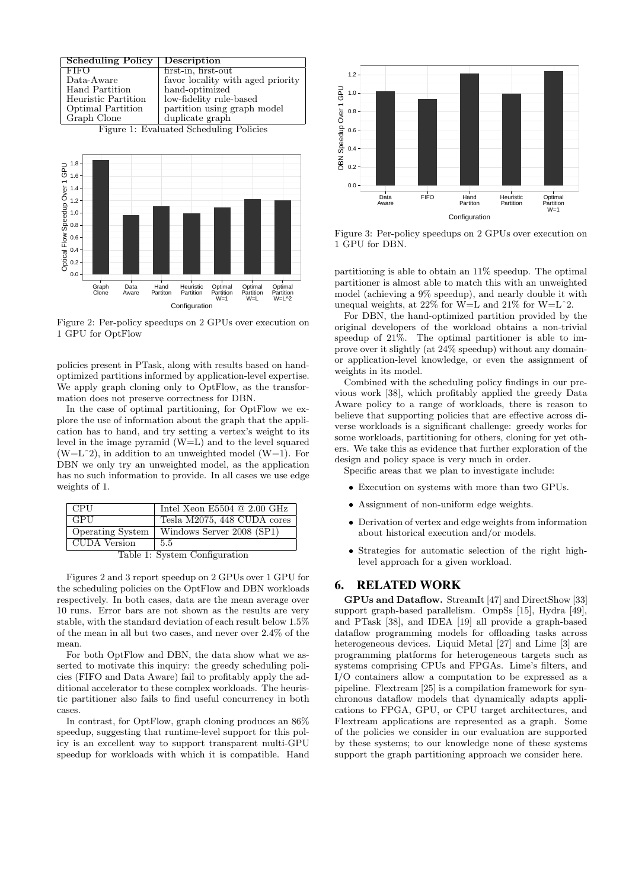

Figure 2: Per-policy speedups on 2 GPUs over execution on 1 GPU for OptFlow

policies present in PTask, along with results based on handoptimized partitions informed by application-level expertise. We apply graph cloning only to OptFlow, as the transformation does not preserve correctness for DBN.

In the case of optimal partitioning, for OptFlow we explore the use of information about the graph that the application has to hand, and try setting a vertex's weight to its level in the image pyramid (W=L) and to the level squared  $(W=L^2)$ , in addition to an unweighted model  $(W=1)$ . For DBN we only try an unweighted model, as the application has no such information to provide. In all cases we use edge weights of 1.

| CPU-                    | Intel Xeon E5504 $@$ 2.00 GHz |
|-------------------------|-------------------------------|
| l GPU                   | Tesla M2075, 448 CUDA cores   |
| <b>Operating System</b> | Windows Server 2008 (SP1)     |
| CUDA Version            | 5.5                           |
|                         |                               |

Table 1: System Configuration

Figures 2 and 3 report speedup on 2 GPUs over 1 GPU for the scheduling policies on the OptFlow and DBN workloads respectively. In both cases, data are the mean average over 10 runs. Error bars are not shown as the results are very stable, with the standard deviation of each result below 1.5% of the mean in all but two cases, and never over 2.4% of the mean.

For both OptFlow and DBN, the data show what we asserted to motivate this inquiry: the greedy scheduling policies (FIFO and Data Aware) fail to profitably apply the additional accelerator to these complex workloads. The heuristic partitioner also fails to find useful concurrency in both cases.

In contrast, for OptFlow, graph cloning produces an 86% speedup, suggesting that runtime-level support for this policy is an excellent way to support transparent multi-GPU speedup for workloads with which it is compatible. Hand



Figure 3: Per-policy speedups on 2 GPUs over execution on 1 GPU for DBN.

partitioning is able to obtain an 11% speedup. The optimal partitioner is almost able to match this with an unweighted model (achieving a 9% speedup), and nearly double it with unequal weights, at 22% for W=L and 21% for W=Lˆ2.

For DBN, the hand-optimized partition provided by the original developers of the workload obtains a non-trivial speedup of 21%. The optimal partitioner is able to improve over it slightly (at 24% speedup) without any domainor application-level knowledge, or even the assignment of weights in its model.

Combined with the scheduling policy findings in our previous work [38], which profitably applied the greedy Data Aware policy to a range of workloads, there is reason to believe that supporting policies that are effective across diverse workloads is a significant challenge: greedy works for some workloads, partitioning for others, cloning for yet others. We take this as evidence that further exploration of the design and policy space is very much in order.

Specific areas that we plan to investigate include:

- Execution on systems with more than two GPUs.
- Assignment of non-uniform edge weights.
- Derivation of vertex and edge weights from information about historical execution and/or models.
- Strategies for automatic selection of the right highlevel approach for a given workload.

# 6. RELATED WORK

GPUs and Dataflow. StreamIt [47] and DirectShow [33] support graph-based parallelism. OmpSs [15], Hydra [49], and PTask [38], and IDEA [19] all provide a graph-based dataflow programming models for offloading tasks across heterogeneous devices. Liquid Metal [27] and Lime [3] are programming platforms for heterogeneous targets such as systems comprising CPUs and FPGAs. Lime's filters, and I/O containers allow a computation to be expressed as a pipeline. Flextream [25] is a compilation framework for synchronous dataflow models that dynamically adapts applications to FPGA, GPU, or CPU target architectures, and Flextream applications are represented as a graph. Some of the policies we consider in our evaluation are supported by these systems; to our knowledge none of these systems support the graph partitioning approach we consider here.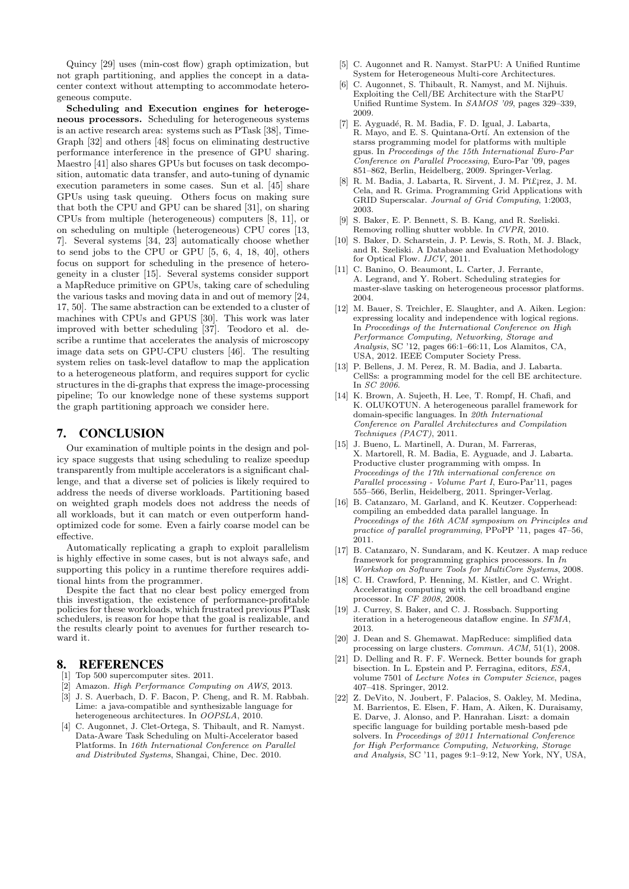Quincy [29] uses (min-cost flow) graph optimization, but not graph partitioning, and applies the concept in a datacenter context without attempting to accommodate heterogeneous compute.

Scheduling and Execution engines for heterogeneous processors. Scheduling for heterogeneous systems is an active research area: systems such as PTask [38], Time-Graph [32] and others [48] focus on eliminating destructive performance interference in the presence of GPU sharing. Maestro [41] also shares GPUs but focuses on task decomposition, automatic data transfer, and auto-tuning of dynamic execution parameters in some cases. Sun et al. [45] share GPUs using task queuing. Others focus on making sure that both the CPU and GPU can be shared [31], on sharing CPUs from multiple (heterogeneous) computers [8, 11], or on scheduling on multiple (heterogeneous) CPU cores [13, 7]. Several systems [34, 23] automatically choose whether to send jobs to the CPU or GPU [5, 6, 4, 18, 40], others focus on support for scheduling in the presence of heterogeneity in a cluster [15]. Several systems consider support a MapReduce primitive on GPUs, taking care of scheduling the various tasks and moving data in and out of memory [24, 17, 50]. The same abstraction can be extended to a cluster of machines with CPUs and GPUS [30]. This work was later improved with better scheduling [37]. Teodoro et al. describe a runtime that accelerates the analysis of microscopy image data sets on GPU-CPU clusters [46]. The resulting system relies on task-level dataflow to map the application to a heterogeneous platform, and requires support for cyclic structures in the di-graphs that express the image-processing pipeline; To our knowledge none of these systems support the graph partitioning approach we consider here.

## 7. CONCLUSION

Our examination of multiple points in the design and policy space suggests that using scheduling to realize speedup transparently from multiple accelerators is a significant challenge, and that a diverse set of policies is likely required to address the needs of diverse workloads. Partitioning based on weighted graph models does not address the needs of all workloads, but it can match or even outperform handoptimized code for some. Even a fairly coarse model can be effective.

Automatically replicating a graph to exploit parallelism is highly effective in some cases, but is not always safe, and supporting this policy in a runtime therefore requires additional hints from the programmer.

Despite the fact that no clear best policy emerged from this investigation, the existence of performance-profitable policies for these workloads, which frustrated previous PTask schedulers, is reason for hope that the goal is realizable, and the results clearly point to avenues for further research toward it.

#### 8. REFERENCES

- [1] Top 500 supercomputer sites. 2011.
- [2] Amazon. High Performance Computing on AWS, 2013. [3] J. S. Auerbach, D. F. Bacon, P. Cheng, and R. M. Rabbah. Lime: a java-compatible and synthesizable language for
- heterogeneous architectures. In OOPSLA, 2010. [4] C. Augonnet, J. Clet-Ortega, S. Thibault, and R. Namyst. Data-Aware Task Scheduling on Multi-Accelerator based Platforms. In 16th International Conference on Parallel and Distributed Systems, Shangai, Chine, Dec. 2010.
- [5] C. Augonnet and R. Namyst. StarPU: A Unified Runtime System for Heterogeneous Multi-core Architectures.
- [6] C. Augonnet, S. Thibault, R. Namyst, and M. Nijhuis. Exploiting the Cell/BE Architecture with the StarPU Unified Runtime System. In SAMOS '09, pages 329–339, 2009.
- [7] E. Ayguadé, R. M. Badia, F. D. Igual, J. Labarta, R. Mayo, and E. S. Quintana-Ortí. An extension of the starss programming model for platforms with multiple gpus. In Proceedings of the 15th International Euro-Par Conference on Parallel Processing, Euro-Par '09, pages 851–862, Berlin, Heidelberg, 2009. Springer-Verlag.
- [8] R. M. Badia, J. Labarta, R. Sirvent, J. M. P¨ı£¡rez, J. M. Cela, and R. Grima. Programming Grid Applications with GRID Superscalar. Journal of Grid Computing, 1:2003, 2003.
- [9] S. Baker, E. P. Bennett, S. B. Kang, and R. Szeliski. Removing rolling shutter wobble. In CVPR, 2010.
- [10] S. Baker, D. Scharstein, J. P. Lewis, S. Roth, M. J. Black, and R. Szeliski. A Database and Evaluation Methodology for Optical Flow. IJCV, 2011.
- [11] C. Banino, O. Beaumont, L. Carter, J. Ferrante, A. Legrand, and Y. Robert. Scheduling strategies for master-slave tasking on heterogeneous processor platforms. 2004.
- [12] M. Bauer, S. Treichler, E. Slaughter, and A. Aiken. Legion: expressing locality and independence with logical regions. In Proceedings of the International Conference on High Performance Computing, Networking, Storage and Analysis, SC '12, pages 66:1–66:11, Los Alamitos, CA, USA, 2012. IEEE Computer Society Press.
- [13] P. Bellens, J. M. Perez, R. M. Badia, and J. Labarta. CellSs: a programming model for the cell BE architecture. In SC 2006.
- [14] K. Brown, A. Sujeeth, H. Lee, T. Rompf, H. Chafi, and K. OLUKOTUN. A heterogeneous parallel framework for domain-specific languages. In 20th International Conference on Parallel Architectures and Compilation Techniques (PACT), 2011.
- [15] J. Bueno, L. Martinell, A. Duran, M. Farreras, X. Martorell, R. M. Badia, E. Ayguade, and J. Labarta. Productive cluster programming with ompss. In Proceedings of the 17th international conference on Parallel processing - Volume Part I, Euro-Par'11, pages 555–566, Berlin, Heidelberg, 2011. Springer-Verlag.
- [16] B. Catanzaro, M. Garland, and K. Keutzer. Copperhead: compiling an embedded data parallel language. In Proceedings of the 16th ACM symposium on Principles and practice of parallel programming, PPoPP '11, pages 47–56, 2011.
- [17] B. Catanzaro, N. Sundaram, and K. Keutzer. A map reduce framework for programming graphics processors. In In Workshop on Software Tools for MultiCore Systems, 2008.
- [18] C. H. Crawford, P. Henning, M. Kistler, and C. Wright. Accelerating computing with the cell broadband engine processor. In CF 2008, 2008.
- [19] J. Currey, S. Baker, and C. J. Rossbach. Supporting iteration in a heterogeneous dataflow engine. In  $S\widetilde{F}MA$ . 2013.
- [20] J. Dean and S. Ghemawat. MapReduce: simplified data processing on large clusters. Commun. ACM, 51(1), 2008.
- [21] D. Delling and R. F. F. Werneck. Better bounds for graph bisection. In L. Epstein and P. Ferragina, editors, ESA, volume 7501 of Lecture Notes in Computer Science, pages 407–418. Springer, 2012.
- [22] Z. DeVito, N. Joubert, F. Palacios, S. Oakley, M. Medina, M. Barrientos, E. Elsen, F. Ham, A. Aiken, K. Duraisamy, E. Darve, J. Alonso, and P. Hanrahan. Liszt: a domain specific language for building portable mesh-based pde solvers. In Proceedings of 2011 International Conference for High Performance Computing, Networking, Storage and Analysis, SC '11, pages 9:1–9:12, New York, NY, USA,